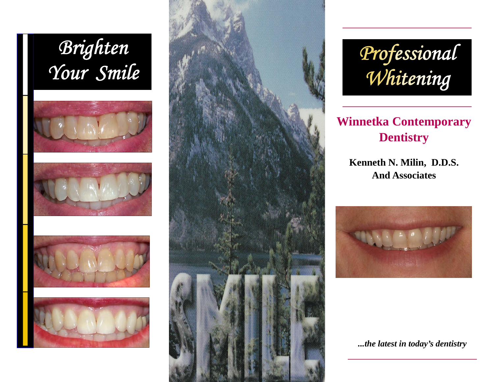











*Professional Whitening* 

# **Winnetka Contemporary Dentistry**

**Kenneth N. Milin, D.D.S. And Associates** 



*...the latest in today's dentistry*